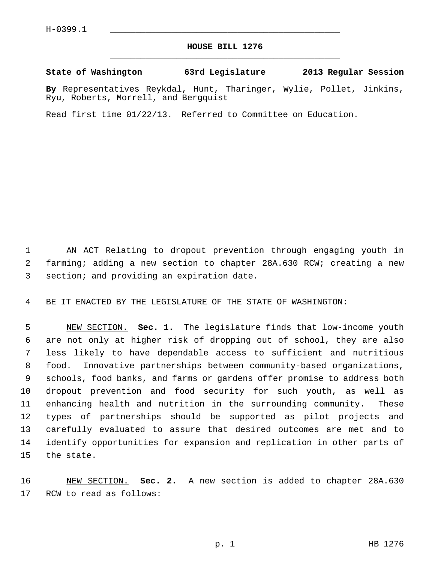## **HOUSE BILL 1276** \_\_\_\_\_\_\_\_\_\_\_\_\_\_\_\_\_\_\_\_\_\_\_\_\_\_\_\_\_\_\_\_\_\_\_\_\_\_\_\_\_\_\_\_\_

## **State of Washington 63rd Legislature 2013 Regular Session**

**By** Representatives Reykdal, Hunt, Tharinger, Wylie, Pollet, Jinkins, Ryu, Roberts, Morrell, and Bergquist

Read first time 01/22/13. Referred to Committee on Education.

 1 AN ACT Relating to dropout prevention through engaging youth in 2 farming; adding a new section to chapter 28A.630 RCW; creating a new 3 section; and providing an expiration date.

4 BE IT ENACTED BY THE LEGISLATURE OF THE STATE OF WASHINGTON:

 5 NEW SECTION. **Sec. 1.** The legislature finds that low-income youth 6 are not only at higher risk of dropping out of school, they are also 7 less likely to have dependable access to sufficient and nutritious 8 food. Innovative partnerships between community-based organizations, 9 schools, food banks, and farms or gardens offer promise to address both 10 dropout prevention and food security for such youth, as well as 11 enhancing health and nutrition in the surrounding community. These 12 types of partnerships should be supported as pilot projects and 13 carefully evaluated to assure that desired outcomes are met and to 14 identify opportunities for expansion and replication in other parts of 15 the state.

16 NEW SECTION. **Sec. 2.** A new section is added to chapter 28A.630 17 RCW to read as follows: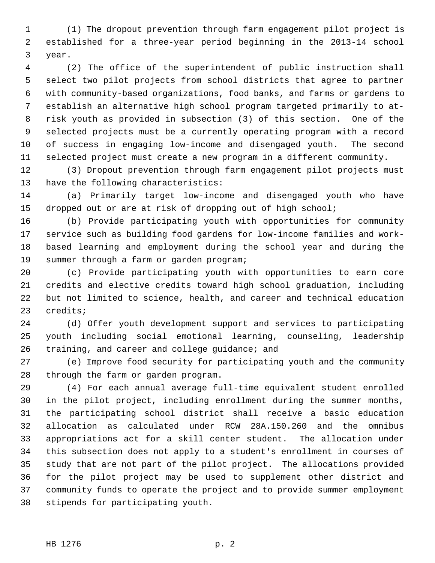1 (1) The dropout prevention through farm engagement pilot project is 2 established for a three-year period beginning in the 2013-14 school 3 year.

 4 (2) The office of the superintendent of public instruction shall 5 select two pilot projects from school districts that agree to partner 6 with community-based organizations, food banks, and farms or gardens to 7 establish an alternative high school program targeted primarily to at- 8 risk youth as provided in subsection (3) of this section. One of the 9 selected projects must be a currently operating program with a record 10 of success in engaging low-income and disengaged youth. The second 11 selected project must create a new program in a different community.

12 (3) Dropout prevention through farm engagement pilot projects must 13 have the following characteristics:

14 (a) Primarily target low-income and disengaged youth who have 15 dropped out or are at risk of dropping out of high school;

16 (b) Provide participating youth with opportunities for community 17 service such as building food gardens for low-income families and work-18 based learning and employment during the school year and during the 19 summer through a farm or garden program;

20 (c) Provide participating youth with opportunities to earn core 21 credits and elective credits toward high school graduation, including 22 but not limited to science, health, and career and technical education 23 credits;

24 (d) Offer youth development support and services to participating 25 youth including social emotional learning, counseling, leadership 26 training, and career and college guidance; and

27 (e) Improve food security for participating youth and the community 28 through the farm or garden program.

29 (4) For each annual average full-time equivalent student enrolled 30 in the pilot project, including enrollment during the summer months, 31 the participating school district shall receive a basic education 32 allocation as calculated under RCW 28A.150.260 and the omnibus 33 appropriations act for a skill center student. The allocation under 34 this subsection does not apply to a student's enrollment in courses of 35 study that are not part of the pilot project. The allocations provided 36 for the pilot project may be used to supplement other district and 37 community funds to operate the project and to provide summer employment 38 stipends for participating youth.